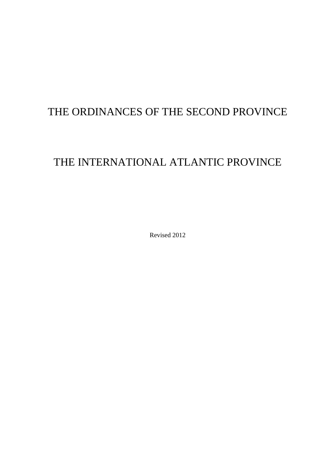# THE ORDINANCES OF THE SECOND PROVINCE

# THE INTERNATIONAL ATLANTIC PROVINCE

Revised 2012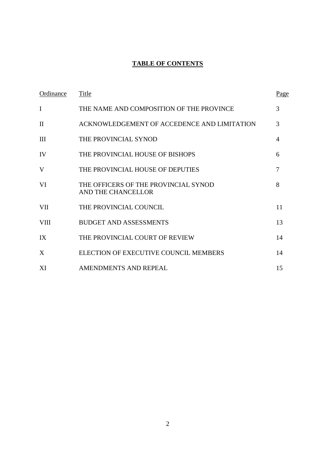# **TABLE OF CONTENTS**

| Ordinance    | Title                                                      | Page           |
|--------------|------------------------------------------------------------|----------------|
| I            | THE NAME AND COMPOSITION OF THE PROVINCE                   | 3              |
| $\mathbf{I}$ | ACKNOWLEDGEMENT OF ACCEDENCE AND LIMITATION                | 3              |
| III          | THE PROVINCIAL SYNOD                                       | 4              |
| IV           | THE PROVINCIAL HOUSE OF BISHOPS                            | 6              |
| V            | THE PROVINCIAL HOUSE OF DEPUTIES                           | $\overline{7}$ |
| VI           | THE OFFICERS OF THE PROVINCIAL SYNOD<br>AND THE CHANCELLOR | 8              |
| VII          | THE PROVINCIAL COUNCIL                                     | 11             |
| <b>VIII</b>  | <b>BUDGET AND ASSESSMENTS</b>                              | 13             |
| IX           | THE PROVINCIAL COURT OF REVIEW                             | 14             |
| X            | ELECTION OF EXECUTIVE COUNCIL MEMBERS                      | 14             |
| XI           | AMENDMENTS AND REPEAL                                      | 15             |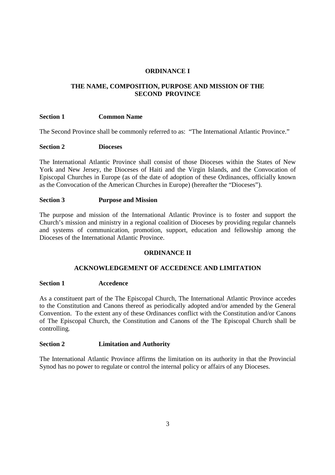# **ORDINANCE I**

# **THE NAME, COMPOSITION, PURPOSE AND MISSION OF THE SECOND PROVINCE**

# **Section 1 Common Name**

The Second Province shall be commonly referred to as: "The International Atlantic Province."

# **Section 2 Dioceses**

The International Atlantic Province shall consist of those Dioceses within the States of New York and New Jersey, the Dioceses of Haiti and the Virgin Islands, and the Convocation of Episcopal Churches in Europe (as of the date of adoption of these Ordinances, officially known as the Convocation of the American Churches in Europe) (hereafter the "Dioceses").

# **Section 3 Purpose and Mission**

The purpose and mission of the International Atlantic Province is to foster and support the Church's mission and ministry in a regional coalition of Dioceses by providing regular channels and systems of communication, promotion, support, education and fellowship among the Dioceses of the International Atlantic Province.

# **ORDINANCE II**

# **ACKNOWLEDGEMENT OF ACCEDENCE AND LIMITATION**

## **Section 1 Accedence**

As a constituent part of the The Episcopal Church, The International Atlantic Province accedes to the Constitution and Canons thereof as periodically adopted and/or amended by the General Convention. To the extent any of these Ordinances conflict with the Constitution and/or Canons of The Episcopal Church, the Constitution and Canons of the The Episcopal Church shall be controlling.

# **Section 2 Limitation and Authority**

The International Atlantic Province affirms the limitation on its authority in that the Provincial Synod has no power to regulate or control the internal policy or affairs of any Dioceses.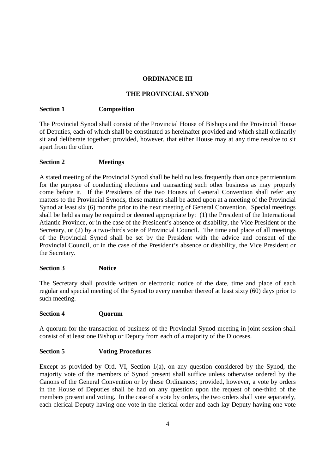# **ORDINANCE III**

# **THE PROVINCIAL SYNOD**

# **Section 1 Composition**

The Provincial Synod shall consist of the Provincial House of Bishops and the Provincial House of Deputies, each of which shall be constituted as hereinafter provided and which shall ordinarily sit and deliberate together; provided, however, that either House may at any time resolve to sit apart from the other.

# **Section 2 Meetings**

A stated meeting of the Provincial Synod shall be held no less frequently than once per triennium for the purpose of conducting elections and transacting such other business as may properly come before it. If the Presidents of the two Houses of General Convention shall refer any matters to the Provincial Synods, these matters shall be acted upon at a meeting of the Provincial Synod at least six (6) months prior to the next meeting of General Convention. Special meetings shall be held as may be required or deemed appropriate by: (1) the President of the International Atlantic Province, or in the case of the President's absence or disability, the Vice President or the Secretary, or (2) by a two-thirds vote of Provincial Council. The time and place of all meetings of the Provincial Synod shall be set by the President with the advice and consent of the Provincial Council, or in the case of the President's absence or disability, the Vice President or the Secretary.

## **Section 3** Notice

The Secretary shall provide written or electronic notice of the date, time and place of each regular and special meeting of the Synod to every member thereof at least sixty (60) days prior to such meeting.

## **Section 4 Quorum**

A quorum for the transaction of business of the Provincial Synod meeting in joint session shall consist of at least one Bishop or Deputy from each of a majority of the Dioceses.

# **Section 5 Voting Procedures**

Except as provided by Ord. VI, Section 1(a), on any question considered by the Synod, the majority vote of the members of Synod present shall suffice unless otherwise ordered by the Canons of the General Convention or by these Ordinances; provided, however, a vote by orders in the House of Deputies shall be had on any question upon the request of one-third of the members present and voting. In the case of a vote by orders, the two orders shall vote separately, each clerical Deputy having one vote in the clerical order and each lay Deputy having one vote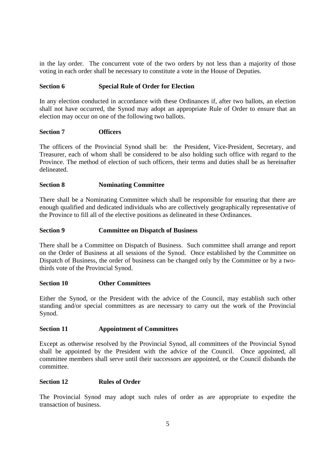in the lay order. The concurrent vote of the two orders by not less than a majority of those voting in each order shall be necessary to constitute a vote in the House of Deputies.

# **Section 6 Special Rule of Order for Election**

In any election conducted in accordance with these Ordinances if, after two ballots, an election shall not have occurred, the Synod may adopt an appropriate Rule of Order to ensure that an election may occur on one of the following two ballots.

# **Section 7 Officers**

The officers of the Provincial Synod shall be: the President, Vice-President, Secretary, and Treasurer, each of whom shall be considered to be also holding such office with regard to the Province. The method of election of such officers, their terms and duties shall be as hereinafter delineated.

# **Section 8 Nominating Committee**

There shall be a Nominating Committee which shall be responsible for ensuring that there are enough qualified and dedicated individuals who are collectively geographically representative of the Province to fill all of the elective positions as delineated in these Ordinances.

# **Section 9 Committee on Dispatch of Business**

There shall be a Committee on Dispatch of Business. Such committee shall arrange and report on the Order of Business at all sessions of the Synod. Once established by the Committee on Dispatch of Business, the order of business can be changed only by the Committee or by a twothirds vote of the Provincial Synod.

## **Section 10 Other Committees**

Either the Synod, or the President with the advice of the Council, may establish such other standing and/or special committees as are necessary to carry out the work of the Provincial Synod.

## **Section 11 Appointment of Committees**

Except as otherwise resolved by the Provincial Synod, all committees of the Provincial Synod shall be appointed by the President with the advice of the Council. Once appointed, all committee members shall serve until their successors are appointed, or the Council disbands the committee.

## **Section 12 Rules of Order**

The Provincial Synod may adopt such rules of order as are appropriate to expedite the transaction of business.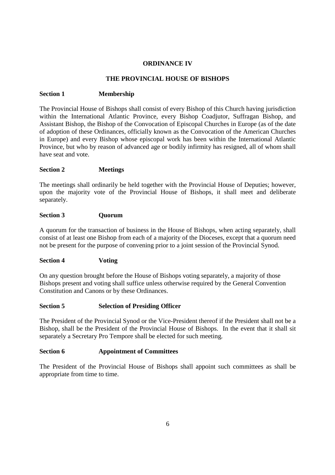# **ORDINANCE IV**

# **THE PROVINCIAL HOUSE OF BISHOPS**

# **Section 1 Membership**

The Provincial House of Bishops shall consist of every Bishop of this Church having jurisdiction within the International Atlantic Province, every Bishop Coadjutor, Suffragan Bishop, and Assistant Bishop, the Bishop of the Convocation of Episcopal Churches in Europe (as of the date of adoption of these Ordinances, officially known as the Convocation of the American Churches in Europe) and every Bishop whose episcopal work has been within the International Atlantic Province, but who by reason of advanced age or bodily infirmity has resigned, all of whom shall have seat and vote.

# **Section 2 Meetings**

The meetings shall ordinarily be held together with the Provincial House of Deputies; however, upon the majority vote of the Provincial House of Bishops, it shall meet and deliberate separately.

# Section 3 **Quorum**

A quorum for the transaction of business in the House of Bishops, when acting separately, shall consist of at least one Bishop from each of a majority of the Dioceses, except that a quorum need not be present for the purpose of convening prior to a joint session of the Provincial Synod.

## **Section 4 Voting**

On any question brought before the House of Bishops voting separately, a majority of those Bishops present and voting shall suffice unless otherwise required by the General Convention Constitution and Canons or by these Ordinances.

# **Section 5 Selection of Presiding Officer**

The President of the Provincial Synod or the Vice-President thereof if the President shall not be a Bishop, shall be the President of the Provincial House of Bishops. In the event that it shall sit separately a Secretary Pro Tempore shall be elected for such meeting.

# **Section 6 Appointment of Committees**

The President of the Provincial House of Bishops shall appoint such committees as shall be appropriate from time to time.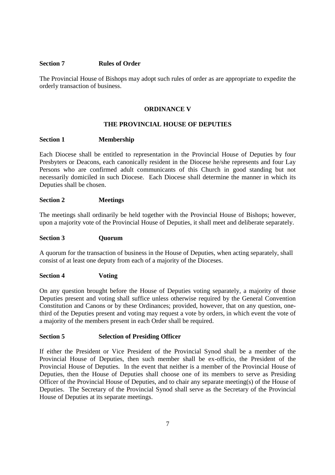## **Section 7 Rules of Order**

The Provincial House of Bishops may adopt such rules of order as are appropriate to expedite the orderly transaction of business.

## **ORDINANCE V**

## **THE PROVINCIAL HOUSE OF DEPUTIES**

#### **Section 1 Membership**

Each Diocese shall be entitled to representation in the Provincial House of Deputies by four Presbyters or Deacons, each canonically resident in the Diocese he/she represents and four Lay Persons who are confirmed adult communicants of this Church in good standing but not necessarily domiciled in such Diocese. Each Diocese shall determine the manner in which its Deputies shall be chosen.

#### **Section 2 Meetings**

The meetings shall ordinarily be held together with the Provincial House of Bishops; however, upon a majority vote of the Provincial House of Deputies, it shall meet and deliberate separately.

#### **Section 3 Quorum**

A quorum for the transaction of business in the House of Deputies, when acting separately, shall consist of at least one deputy from each of a majority of the Dioceses.

#### **Section 4 Voting**

On any question brought before the House of Deputies voting separately, a majority of those Deputies present and voting shall suffice unless otherwise required by the General Convention Constitution and Canons or by these Ordinances; provided, however, that on any question, onethird of the Deputies present and voting may request a vote by orders, in which event the vote of a majority of the members present in each Order shall be required.

#### **Section 5 Selection of Presiding Officer**

If either the President or Vice President of the Provincial Synod shall be a member of the Provincial House of Deputies, then such member shall be ex-officio, the President of the Provincial House of Deputies. In the event that neither is a member of the Provincial House of Deputies, then the House of Deputies shall choose one of its members to serve as Presiding Officer of the Provincial House of Deputies, and to chair any separate meeting(s) of the House of Deputies. The Secretary of the Provincial Synod shall serve as the Secretary of the Provincial House of Deputies at its separate meetings.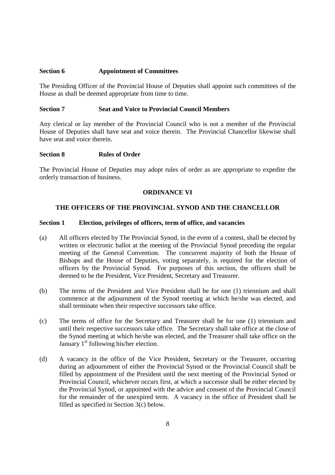## **Section 6 Appointment of Committees**

The Presiding Officer of the Provincial House of Deputies shall appoint such committees of the House as shall be deemed appropriate from time to time.

## **Section 7 Seat and Voice to Provincial Council Members**

Any clerical or lay member of the Provincial Council who is not a member of the Provincial House of Deputies shall have seat and voice therein. The Provincial Chancellor likewise shall have seat and voice therein.

#### **Section 8 Rules of Order**

The Provincial House of Deputies may adopt rules of order as are appropriate to expedite the orderly transaction of business.

## **ORDINANCE VI**

## **THE OFFICERS OF THE PROVINCIAL SYNOD AND THE CHANCELLOR**

#### **Section 1 Election, privileges of officers, term of office, and vacancies**

- (a) All officers elected by The Provincial Synod, in the event of a contest, shall be elected by written or electronic ballot at the meeting of the Provincial Synod preceding the regular meeting of the General Convention. The concurrent majority of both the House of Bishops and the House of Deputies, voting separately, is required for the election of officers by the Provincial Synod. For purposes of this section, the officers shall be deemed to be the President, Vice President, Secretary and Treasurer.
- (b) The terms of the President and Vice President shall be for one (1) triennium and shall commence at the adjournment of the Synod meeting at which he/she was elected, and shall terminate when their respective successors take office.
- (c) The terms of office for the Secretary and Treasurer shall be for one (1) triennium and until their respective successors take office. The Secretary shall take office at the close of the Synod meeting at which he/she was elected, and the Treasurer shall take office on the January  $1<sup>st</sup>$  following his/her election.
- (d) A vacancy in the office of the Vice President, Secretary or the Treasurer, occurring during an adjournment of either the Provincial Synod or the Provincial Council shall be filled by appointment of the President until the next meeting of the Provincial Synod or Provincial Council, whichever occurs first, at which a successor shall be either elected by the Provincial Synod, or appointed with the advice and consent of the Provincial Council for the remainder of the unexpired term. A vacancy in the office of President shall be filled as specified in Section 3(c) below.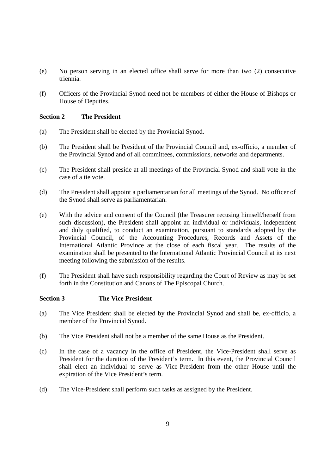- (e) No person serving in an elected office shall serve for more than two (2) consecutive triennia.
- (f) Officers of the Provincial Synod need not be members of either the House of Bishops or House of Deputies.

# **Section 2 The President**

- (a) The President shall be elected by the Provincial Synod.
- (b) The President shall be President of the Provincial Council and, ex-officio, a member of the Provincial Synod and of all committees, commissions, networks and departments.
- (c) The President shall preside at all meetings of the Provincial Synod and shall vote in the case of a tie vote.
- (d) The President shall appoint a parliamentarian for all meetings of the Synod. No officer of the Synod shall serve as parliamentarian.
- (e) With the advice and consent of the Council (the Treasurer recusing himself/herself from such discussion), the President shall appoint an individual or individuals, independent and duly qualified, to conduct an examination, pursuant to standards adopted by the Provincial Council, of the Accounting Procedures, Records and Assets of the International Atlantic Province at the close of each fiscal year. The results of the examination shall be presented to the International Atlantic Provincial Council at its next meeting following the submission of the results.
- (f) The President shall have such responsibility regarding the Court of Review as may be set forth in the Constitution and Canons of The Episcopal Church.

## **Section 3 The Vice President**

- (a) The Vice President shall be elected by the Provincial Synod and shall be, ex-officio, a member of the Provincial Synod.
- (b) The Vice President shall not be a member of the same House as the President.
- (c) In the case of a vacancy in the office of President, the Vice-President shall serve as President for the duration of the President's term. In this event, the Provincial Council shall elect an individual to serve as Vice-President from the other House until the expiration of the Vice President's term.
- (d) The Vice-President shall perform such tasks as assigned by the President.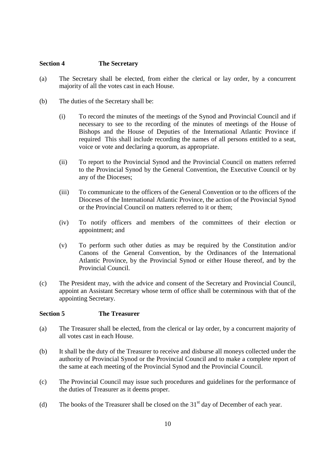# **Section 4 The Secretary**

- (a) The Secretary shall be elected, from either the clerical or lay order, by a concurrent majority of all the votes cast in each House.
- (b) The duties of the Secretary shall be:
	- (i) To record the minutes of the meetings of the Synod and Provincial Council and if necessary to see to the recording of the minutes of meetings of the House of Bishops and the House of Deputies of the International Atlantic Province if required This shall include recording the names of all persons entitled to a seat, voice or vote and declaring a quorum, as appropriate.
	- (ii) To report to the Provincial Synod and the Provincial Council on matters referred to the Provincial Synod by the General Convention, the Executive Council or by any of the Dioceses;
	- (iii) To communicate to the officers of the General Convention or to the officers of the Dioceses of the International Atlantic Province, the action of the Provincial Synod or the Provincial Council on matters referred to it or them;
	- (iv) To notify officers and members of the committees of their election or appointment; and
	- (v) To perform such other duties as may be required by the Constitution and/or Canons of the General Convention, by the Ordinances of the International Atlantic Province, by the Provincial Synod or either House thereof, and by the Provincial Council.
- (c) The President may, with the advice and consent of the Secretary and Provincial Council, appoint an Assistant Secretary whose term of office shall be coterminous with that of the appointing Secretary.

## **Section 5 The Treasurer**

- (a) The Treasurer shall be elected, from the clerical or lay order, by a concurrent majority of all votes cast in each House.
- (b) It shall be the duty of the Treasurer to receive and disburse all moneys collected under the authority of Provincial Synod or the Provincial Council and to make a complete report of the same at each meeting of the Provincial Synod and the Provincial Council.
- (c) The Provincial Council may issue such procedures and guidelines for the performance of the duties of Treasurer as it deems proper.
- (d) The books of the Treasurer shall be closed on the  $31<sup>st</sup>$  day of December of each year.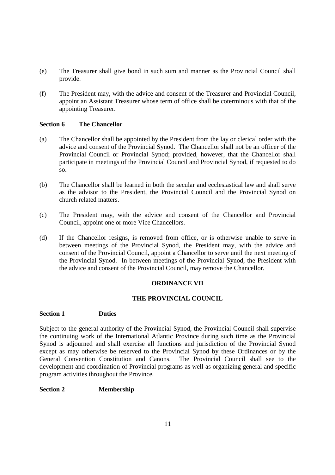- (e) The Treasurer shall give bond in such sum and manner as the Provincial Council shall provide.
- (f) The President may, with the advice and consent of the Treasurer and Provincial Council, appoint an Assistant Treasurer whose term of office shall be coterminous with that of the appointing Treasurer.

# **Section 6 The Chancellor**

- (a) The Chancellor shall be appointed by the President from the lay or clerical order with the advice and consent of the Provincial Synod. The Chancellor shall not be an officer of the Provincial Council or Provincial Synod; provided, however, that the Chancellor shall participate in meetings of the Provincial Council and Provincial Synod, if requested to do so.
- (b) The Chancellor shall be learned in both the secular and ecclesiastical law and shall serve as the advisor to the President, the Provincial Council and the Provincial Synod on church related matters.
- (c) The President may, with the advice and consent of the Chancellor and Provincial Council, appoint one or more Vice Chancellors.
- (d) If the Chancellor resigns, is removed from office, or is otherwise unable to serve in between meetings of the Provincial Synod, the President may, with the advice and consent of the Provincial Council, appoint a Chancellor to serve until the next meeting of the Provincial Synod. In between meetings of the Provincial Synod, the President with the advice and consent of the Provincial Council, may remove the Chancellor.

# **ORDINANCE VII**

## **THE PROVINCIAL COUNCIL**

## **Section 1 Duties**

Subject to the general authority of the Provincial Synod, the Provincial Council shall supervise the continuing work of the International Atlantic Province during such time as the Provincial Synod is adjourned and shall exercise all functions and jurisdiction of the Provincial Synod except as may otherwise be reserved to the Provincial Synod by these Ordinances or by the General Convention Constitution and Canons. The Provincial Council shall see to the development and coordination of Provincial programs as well as organizing general and specific program activities throughout the Province.

# **Section 2 Membership**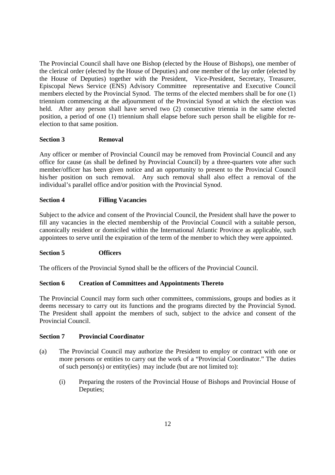The Provincial Council shall have one Bishop (elected by the House of Bishops), one member of the clerical order (elected by the House of Deputies) and one member of the lay order (elected by the House of Deputies) together with the President, Vice-President, Secretary, Treasurer, Episcopal News Service (ENS) Advisory Committee representative and Executive Council members elected by the Provincial Synod. The terms of the elected members shall be for one (1) triennium commencing at the adjournment of the Provincial Synod at which the election was held. After any person shall have served two (2) consecutive triennia in the same elected position, a period of one (1) triennium shall elapse before such person shall be eligible for reelection to that same position.

# **Section 3 Removal**

Any officer or member of Provincial Council may be removed from Provincial Council and any office for cause (as shall be defined by Provincial Council) by a three-quarters vote after such member/officer has been given notice and an opportunity to present to the Provincial Council his/her position on such removal. Any such removal shall also effect a removal of the individual's parallel office and/or position with the Provincial Synod.

# **Section 4 Filling Vacancies**

Subject to the advice and consent of the Provincial Council, the President shall have the power to fill any vacancies in the elected membership of the Provincial Council with a suitable person, canonically resident or domiciled within the International Atlantic Province as applicable, such appointees to serve until the expiration of the term of the member to which they were appointed.

## **Section 5 Officers**

The officers of the Provincial Synod shall be the officers of the Provincial Council.

## **Section 6 Creation of Committees and Appointments Thereto**

The Provincial Council may form such other committees, commissions, groups and bodies as it deems necessary to carry out its functions and the programs directed by the Provincial Synod. The President shall appoint the members of such, subject to the advice and consent of the Provincial Council.

# **Section 7 Provincial Coordinator**

- (a) The Provincial Council may authorize the President to employ or contract with one or more persons or entities to carry out the work of a "Provincial Coordinator." The duties of such person(s) or entity(ies) may include (but are not limited to):
	- (i) Preparing the rosters of the Provincial House of Bishops and Provincial House of Deputies;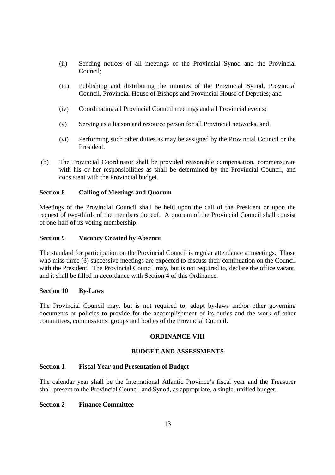- (ii) Sending notices of all meetings of the Provincial Synod and the Provincial Council;
- (iii) Publishing and distributing the minutes of the Provincial Synod, Provincial Council, Provincial House of Bishops and Provincial House of Deputies; and
- (iv) Coordinating all Provincial Council meetings and all Provincial events;
- (v) Serving as a liaison and resource person for all Provincial networks, and
- (vi) Performing such other duties as may be assigned by the Provincial Council or the President.
- (b) The Provincial Coordinator shall be provided reasonable compensation, commensurate with his or her responsibilities as shall be determined by the Provincial Council, and consistent with the Provincial budget.

# **Section 8 Calling of Meetings and Quorum**

Meetings of the Provincial Council shall be held upon the call of the President or upon the request of two-thirds of the members thereof. A quorum of the Provincial Council shall consist of one-half of its voting membership.

# **Section 9 Vacancy Created by Absence**

The standard for participation on the Provincial Council is regular attendance at meetings. Those who miss three (3) successive meetings are expected to discuss their continuation on the Council with the President. The Provincial Council may, but is not required to, declare the office vacant, and it shall be filled in accordance with Section 4 of this Ordinance.

## **Section 10 By-Laws**

The Provincial Council may, but is not required to, adopt by-laws and/or other governing documents or policies to provide for the accomplishment of its duties and the work of other committees, commissions, groups and bodies of the Provincial Council.

# **ORDINANCE VIII**

## **BUDGET AND ASSESSMENTS**

## **Section 1 Fiscal Year and Presentation of Budget**

The calendar year shall be the International Atlantic Province's fiscal year and the Treasurer shall present to the Provincial Council and Synod, as appropriate, a single, unified budget.

# **Section 2 Finance Committee**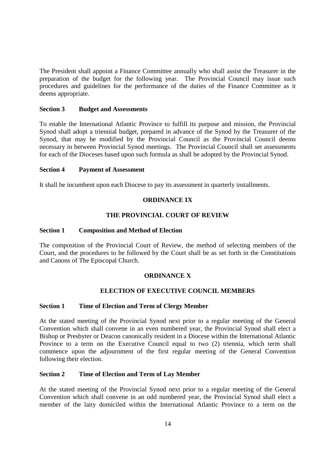The President shall appoint a Finance Committee annually who shall assist the Treasurer in the preparation of the budget for the following year. The Provincial Council may issue such procedures and guidelines for the performance of the duties of the Finance Committee as it deems appropriate.

# **Section 3 Budget and Assessments**

To enable the International Atlantic Province to fulfill its purpose and mission, the Provincial Synod shall adopt a triennial budget, prepared in advance of the Synod by the Treasurer of the Synod, that may be modified by the Provincial Council as the Provincial Council deems necessary in between Provincial Synod meetings. The Provincial Council shall set assessments for each of the Dioceses based upon such formula as shall be adopted by the Provincial Synod.

## **Section 4 Payment of Assessment**

It shall be incumbent upon each Diocese to pay its assessment in quarterly installments.

# **ORDINANCE IX**

# **THE PROVINCIAL COURT OF REVIEW**

# **Section 1 Composition and Method of Election**

The composition of the Provincial Court of Review, the method of selecting members of the Court, and the procedures to be followed by the Court shall be as set forth in the Constitutions and Canons of The Episcopal Church.

## **ORDINANCE X**

# **ELECTION OF EXECUTIVE COUNCIL MEMBERS**

# **Section 1 Time of Election and Term of Clergy Member**

At the stated meeting of the Provincial Synod next prior to a regular meeting of the General Convention which shall convene in an even numbered year, the Provincial Synod shall elect a Bishop or Presbyter or Deacon canonically resident in a Diocese within the International Atlantic Province to a term on the Executive Council equal to two (2) triennia, which term shall commence upon the adjournment of the first regular meeting of the General Convention following their election.

# **Section 2 Time of Election and Term of Lay Member**

At the stated meeting of the Provincial Synod next prior to a regular meeting of the General Convention which shall convene in an odd numbered year, the Provincial Synod shall elect a member of the laity domiciled within the International Atlantic Province to a term on the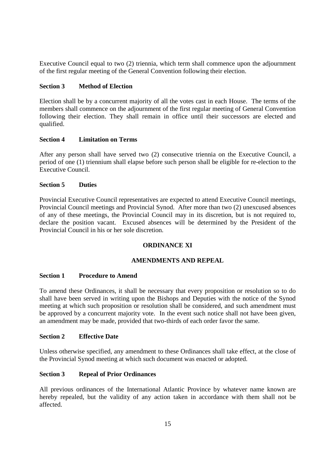Executive Council equal to two (2) triennia, which term shall commence upon the adjournment of the first regular meeting of the General Convention following their election.

# **Section 3 Method of Election**

Election shall be by a concurrent majority of all the votes cast in each House. The terms of the members shall commence on the adjournment of the first regular meeting of General Convention following their election. They shall remain in office until their successors are elected and qualified.

## **Section 4 Limitation on Terms**

After any person shall have served two (2) consecutive triennia on the Executive Council, a period of one (1) triennium shall elapse before such person shall be eligible for re-election to the Executive Council.

# **Section 5 Duties**

Provincial Executive Council representatives are expected to attend Executive Council meetings, Provincial Council meetings and Provincial Synod. After more than two (2) unexcused absences of any of these meetings, the Provincial Council may in its discretion, but is not required to, declare the position vacant. Excused absences will be determined by the President of the Provincial Council in his or her sole discretion.

# **ORDINANCE XI**

# **AMENDMENTS AND REPEAL**

## **Section 1 Procedure to Amend**

To amend these Ordinances, it shall be necessary that every proposition or resolution so to do shall have been served in writing upon the Bishops and Deputies with the notice of the Synod meeting at which such proposition or resolution shall be considered, and such amendment must be approved by a concurrent majority vote. In the event such notice shall not have been given, an amendment may be made, provided that two-thirds of each order favor the same.

# **Section 2 Effective Date**

Unless otherwise specified, any amendment to these Ordinances shall take effect, at the close of the Provincial Synod meeting at which such document was enacted or adopted.

## **Section 3 Repeal of Prior Ordinances**

All previous ordinances of the International Atlantic Province by whatever name known are hereby repealed, but the validity of any action taken in accordance with them shall not be affected.